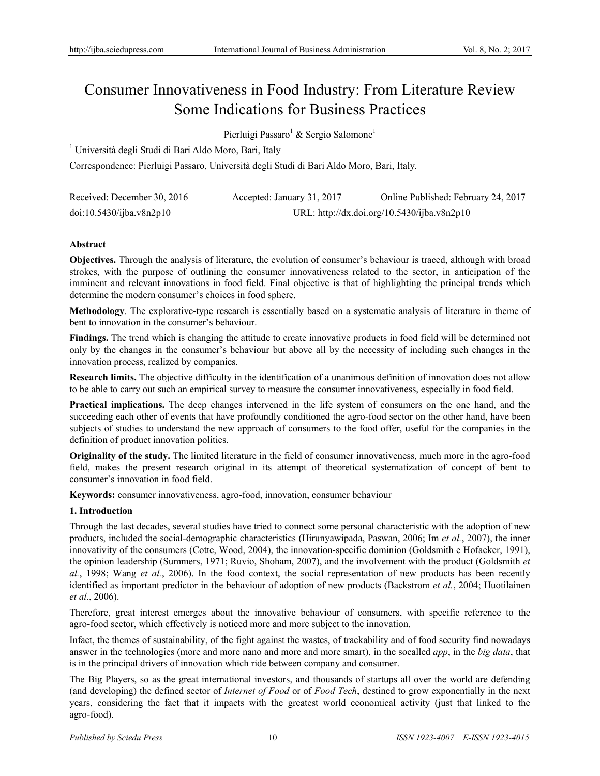# Consumer Innovativeness in Food Industry: From Literature Review Some Indications for Business Practices

Pierluigi Passaro<sup>1</sup> & Sergio Salomone<sup>1</sup>

<sup>1</sup> Università degli Studi di Bari Aldo Moro, Bari, Italy

Correspondence: Pierluigi Passaro, Università degli Studi di Bari Aldo Moro, Bari, Italy.

| Received: December 30, 2016 | Accepted: January 31, 2017                  | Online Published: February 24, 2017 |
|-----------------------------|---------------------------------------------|-------------------------------------|
| doi:10.5430/ijba.v8n2p10    | URL: http://dx.doi.org/10.5430/ijba.v8n2p10 |                                     |

#### **Abstract**

**Objectives.** Through the analysis of literature, the evolution of consumer's behaviour is traced, although with broad strokes, with the purpose of outlining the consumer innovativeness related to the sector, in anticipation of the imminent and relevant innovations in food field. Final objective is that of highlighting the principal trends which determine the modern consumer's choices in food sphere.

**Methodology**. The explorative-type research is essentially based on a systematic analysis of literature in theme of bent to innovation in the consumer's behaviour.

**Findings.** The trend which is changing the attitude to create innovative products in food field will be determined not only by the changes in the consumer's behaviour but above all by the necessity of including such changes in the innovation process, realized by companies.

**Research limits.** The objective difficulty in the identification of a unanimous definition of innovation does not allow to be able to carry out such an empirical survey to measure the consumer innovativeness, especially in food field.

**Practical implications.** The deep changes intervened in the life system of consumers on the one hand, and the succeeding each other of events that have profoundly conditioned the agro-food sector on the other hand, have been subjects of studies to understand the new approach of consumers to the food offer, useful for the companies in the definition of product innovation politics.

**Originality of the study.** The limited literature in the field of consumer innovativeness, much more in the agro-food field, makes the present research original in its attempt of theoretical systematization of concept of bent to consumer's innovation in food field.

**Keywords:** consumer innovativeness, agro-food, innovation, consumer behaviour

## **1. Introduction**

Through the last decades, several studies have tried to connect some personal characteristic with the adoption of new products, included the social-demographic characteristics (Hirunyawipada, Paswan, 2006; Im *et al.*, 2007), the inner innovativity of the consumers (Cotte, Wood, 2004), the innovation-specific dominion (Goldsmith e Hofacker, 1991), the opinion leadership (Summers, 1971; Ruvio, Shoham, 2007), and the involvement with the product (Goldsmith *et al.*, 1998; Wang *et al.*, 2006). In the food context, the social representation of new products has been recently identified as important predictor in the behaviour of adoption of new products (Backstrom *et al.*, 2004; Huotilainen *et al.*, 2006).

Therefore, great interest emerges about the innovative behaviour of consumers, with specific reference to the agro-food sector, which effectively is noticed more and more subject to the innovation.

Infact, the themes of sustainability, of the fight against the wastes, of trackability and of food security find nowadays answer in the technologies (more and more nano and more and more smart), in the socalled *app*, in the *big data*, that is in the principal drivers of innovation which ride between company and consumer.

The Big Players, so as the great international investors, and thousands of startups all over the world are defending (and developing) the defined sector of *Internet of Food* or of *Food Tech*, destined to grow exponentially in the next years, considering the fact that it impacts with the greatest world economical activity (just that linked to the agro-food).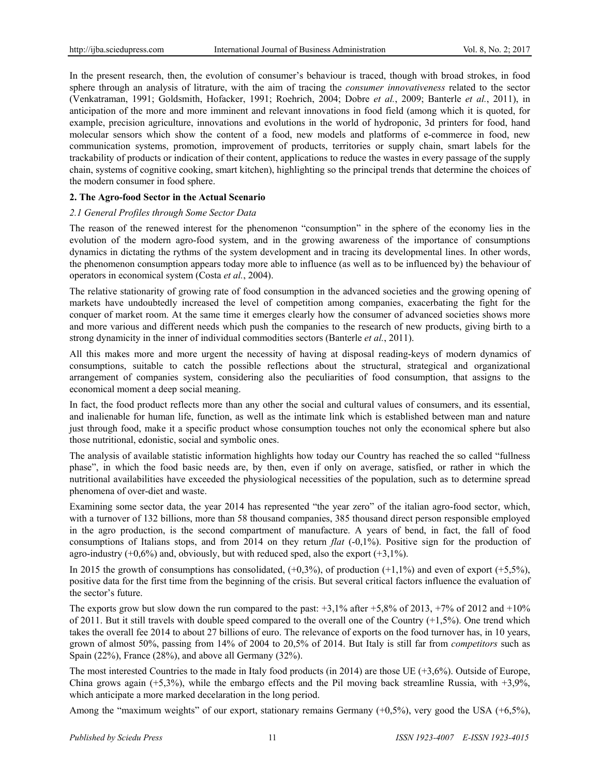In the present research, then, the evolution of consumer's behaviour is traced, though with broad strokes, in food sphere through an analysis of litrature, with the aim of tracing the *consumer innovativeness* related to the sector (Venkatraman, 1991; Goldsmith, Hofacker, 1991; Roehrich, 2004; Dobre *et al.*, 2009; Banterle *et al.*, 2011), in anticipation of the more and more imminent and relevant innovations in food field (among which it is quoted, for example, precision agriculture, innovations and evolutions in the world of hydroponic, 3d printers for food, hand molecular sensors which show the content of a food, new models and platforms of e-commerce in food, new communication systems, promotion, improvement of products, territories or supply chain, smart labels for the trackability of products or indication of their content, applications to reduce the wastes in every passage of the supply chain, systems of cognitive cooking, smart kitchen), highlighting so the principal trends that determine the choices of the modern consumer in food sphere.

#### **2. The Agro-food Sector in the Actual Scenario**

#### *2.1 General Profiles through Some Sector Data*

The reason of the renewed interest for the phenomenon "consumption" in the sphere of the economy lies in the evolution of the modern agro-food system, and in the growing awareness of the importance of consumptions dynamics in dictating the rythms of the system development and in tracing its developmental lines. In other words, the phenomenon consumption appears today more able to influence (as well as to be influenced by) the behaviour of operators in economical system (Costa *et al.*, 2004).

The relative stationarity of growing rate of food consumption in the advanced societies and the growing opening of markets have undoubtedly increased the level of competition among companies, exacerbating the fight for the conquer of market room. At the same time it emerges clearly how the consumer of advanced societies shows more and more various and different needs which push the companies to the research of new products, giving birth to a strong dynamicity in the inner of individual commodities sectors (Banterle *et al.*, 2011).

All this makes more and more urgent the necessity of having at disposal reading-keys of modern dynamics of consumptions, suitable to catch the possible reflections about the structural, strategical and organizational arrangement of companies system, considering also the peculiarities of food consumption, that assigns to the economical moment a deep social meaning.

In fact, the food product reflects more than any other the social and cultural values of consumers, and its essential, and inalienable for human life, function, as well as the intimate link which is established between man and nature just through food, make it a specific product whose consumption touches not only the economical sphere but also those nutritional, edonistic, social and symbolic ones.

The analysis of available statistic information highlights how today our Country has reached the so called "fullness phase", in which the food basic needs are, by then, even if only on average, satisfied, or rather in which the nutritional availabilities have exceeded the physiological necessities of the population, such as to determine spread phenomena of over-diet and waste.

Examining some sector data, the year 2014 has represented "the year zero" of the italian agro-food sector, which, with a turnover of 132 billions, more than 58 thousand companies, 385 thousand direct person responsible employed in the agro production, is the second compartment of manufacture. A years of bend, in fact, the fall of food consumptions of Italians stops, and from 2014 on they return *flat* (-0,1%). Positive sign for the production of agro-industry  $(+0.6\%)$  and, obviously, but with reduced sped, also the export  $(+3.1\%)$ .

In 2015 the growth of consumptions has consolidated,  $(+0.3%)$ , of production  $(+1.1%)$  and even of export  $(+5.5%)$ , positive data for the first time from the beginning of the crisis. But several critical factors influence the evaluation of the sector's future.

The exports grow but slow down the run compared to the past:  $+3,1\%$  after  $+5,8\%$  of 2013,  $+7\%$  of 2012 and  $+10\%$ of 2011. But it still travels with double speed compared to the overall one of the Country  $(+1,5%)$ . One trend which takes the overall fee 2014 to about 27 billions of euro. The relevance of exports on the food turnover has, in 10 years, grown of almost 50%, passing from 14% of 2004 to 20,5% of 2014. But Italy is still far from *competitors* such as Spain (22%), France (28%), and above all Germany (32%).

The most interested Countries to the made in Italy food products (in 2014) are those UE (+3,6%). Outside of Europe, China grows again (+5,3%), while the embargo effects and the Pil moving back streamline Russia, with +3,9%, which anticipate a more marked decelaration in the long period.

Among the "maximum weights" of our export, stationary remains Germany (+0,5%), very good the USA (+6,5%),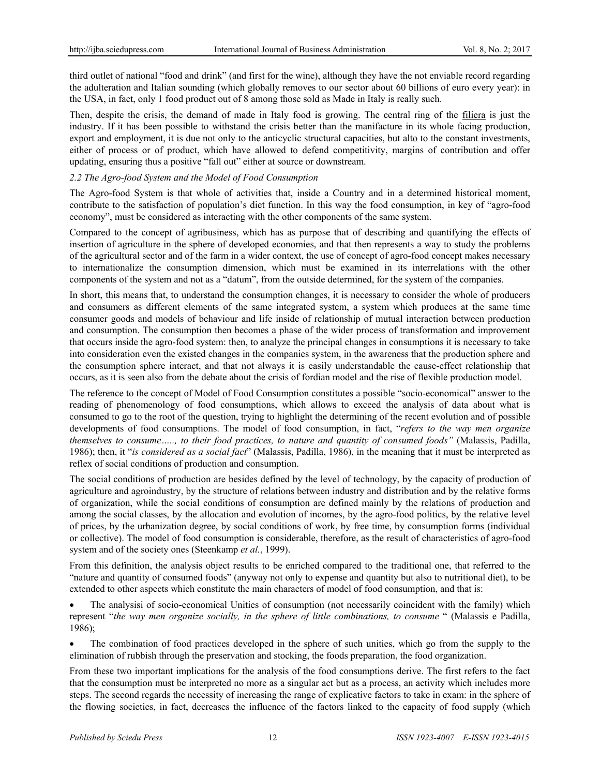third outlet of national "food and drink" (and first for the wine), although they have the not enviable record regarding the adulteration and Italian sounding (which globally removes to our sector about 60 billions of euro every year): in the USA, in fact, only 1 food product out of 8 among those sold as Made in Italy is really such.

Then, despite the crisis, the demand of made in Italy food is growing. The central ring of the filiera is just the industry. If it has been possible to withstand the crisis better than the manifacture in its whole facing production, export and employment, it is due not only to the anticyclic structural capacities, but alto to the constant investments, either of process or of product, which have allowed to defend competitivity, margins of contribution and offer updating, ensuring thus a positive "fall out" either at source or downstream.

## *2.2 The Agro-food System and the Model of Food Consumption*

The Agro-food System is that whole of activities that, inside a Country and in a determined historical moment, contribute to the satisfaction of population's diet function. In this way the food consumption, in key of "agro-food economy", must be considered as interacting with the other components of the same system.

Compared to the concept of agribusiness, which has as purpose that of describing and quantifying the effects of insertion of agriculture in the sphere of developed economies, and that then represents a way to study the problems of the agricultural sector and of the farm in a wider context, the use of concept of agro-food concept makes necessary to internationalize the consumption dimension, which must be examined in its interrelations with the other components of the system and not as a "datum", from the outside determined, for the system of the companies.

In short, this means that, to understand the consumption changes, it is necessary to consider the whole of producers and consumers as different elements of the same integrated system, a system which produces at the same time consumer goods and models of behaviour and life inside of relationship of mutual interaction between production and consumption. The consumption then becomes a phase of the wider process of transformation and improvement that occurs inside the agro-food system: then, to analyze the principal changes in consumptions it is necessary to take into consideration even the existed changes in the companies system, in the awareness that the production sphere and the consumption sphere interact, and that not always it is easily understandable the cause-effect relationship that occurs, as it is seen also from the debate about the crisis of fordian model and the rise of flexible production model.

The reference to the concept of Model of Food Consumption constitutes a possible "socio-economical" answer to the reading of phenomenology of food consumptions, which allows to exceed the analysis of data about what is consumed to go to the root of the question, trying to highlight the determining of the recent evolution and of possible developments of food consumptions. The model of food consumption, in fact, "*refers to the way men organize themselves to consume….., to their food practices, to nature and quantity of consumed foods"* (Malassis, Padilla, 1986); then, it "*is considered as a social fact*" (Malassis, Padilla, 1986), in the meaning that it must be interpreted as reflex of social conditions of production and consumption.

The social conditions of production are besides defined by the level of technology, by the capacity of production of agriculture and agroindustry, by the structure of relations between industry and distribution and by the relative forms of organization, while the social conditions of consumption are defined mainly by the relations of production and among the social classes, by the allocation and evolution of incomes, by the agro-food politics, by the relative level of prices, by the urbanization degree, by social conditions of work, by free time, by consumption forms (individual or collective). The model of food consumption is considerable, therefore, as the result of characteristics of agro-food system and of the society ones (Steenkamp *et al.*, 1999).

From this definition, the analysis object results to be enriched compared to the traditional one, that referred to the "nature and quantity of consumed foods" (anyway not only to expense and quantity but also to nutritional diet), to be extended to other aspects which constitute the main characters of model of food consumption, and that is:

 The analysisi of socio-economical Unities of consumption (not necessarily coincident with the family) which represent "*the way men organize socially, in the sphere of little combinations, to consume* " (Malassis e Padilla, 1986);

 The combination of food practices developed in the sphere of such unities, which go from the supply to the elimination of rubbish through the preservation and stocking, the foods preparation, the food organization.

From these two important implications for the analysis of the food consumptions derive. The first refers to the fact that the consumption must be interpreted no more as a singular act but as a process, an activity which includes more steps. The second regards the necessity of increasing the range of explicative factors to take in exam: in the sphere of the flowing societies, in fact, decreases the influence of the factors linked to the capacity of food supply (which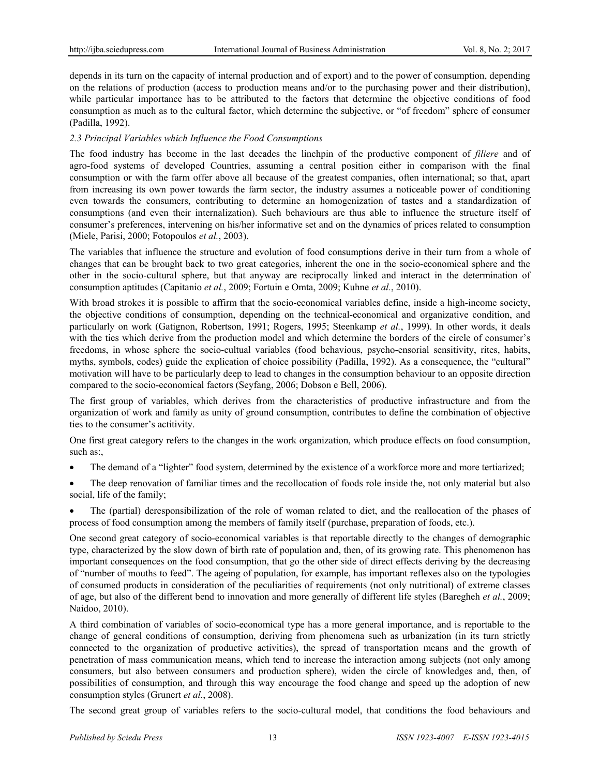depends in its turn on the capacity of internal production and of export) and to the power of consumption, depending on the relations of production (access to production means and/or to the purchasing power and their distribution), while particular importance has to be attributed to the factors that determine the objective conditions of food consumption as much as to the cultural factor, which determine the subjective, or "of freedom" sphere of consumer (Padilla, 1992).

## *2.3 Principal Variables which Influence the Food Consumptions*

The food industry has become in the last decades the linchpin of the productive component of *filiere* and of agro-food systems of developed Countries, assuming a central position either in comparison with the final consumption or with the farm offer above all because of the greatest companies, often international; so that, apart from increasing its own power towards the farm sector, the industry assumes a noticeable power of conditioning even towards the consumers, contributing to determine an homogenization of tastes and a standardization of consumptions (and even their internalization). Such behaviours are thus able to influence the structure itself of consumer's preferences, intervening on his/her informative set and on the dynamics of prices related to consumption (Miele, Parisi, 2000; Fotopoulos *et al.*, 2003).

The variables that influence the structure and evolution of food consumptions derive in their turn from a whole of changes that can be brought back to two great categories, inherent the one in the socio-economical sphere and the other in the socio-cultural sphere, but that anyway are reciprocally linked and interact in the determination of consumption aptitudes (Capitanio *et al.*, 2009; Fortuin e Omta, 2009; Kuhne *et al.*, 2010).

With broad strokes it is possible to affirm that the socio-economical variables define, inside a high-income society, the objective conditions of consumption, depending on the technical-economical and organizative condition, and particularly on work (Gatignon, Robertson, 1991; Rogers, 1995; Steenkamp *et al.*, 1999). In other words, it deals with the ties which derive from the production model and which determine the borders of the circle of consumer's freedoms, in whose sphere the socio-cultual variables (food behavious, psycho-ensorial sensitivity, rites, habits, myths, symbols, codes) guide the explication of choice possibility (Padilla, 1992). As a consequence, the "cultural" motivation will have to be particularly deep to lead to changes in the consumption behaviour to an opposite direction compared to the socio-economical factors (Seyfang, 2006; Dobson e Bell, 2006).

The first group of variables, which derives from the characteristics of productive infrastructure and from the organization of work and family as unity of ground consumption, contributes to define the combination of objective ties to the consumer's actitivity.

One first great category refers to the changes in the work organization, which produce effects on food consumption, such as:,

The demand of a "lighter" food system, determined by the existence of a workforce more and more tertiarized;

 The deep renovation of familiar times and the recollocation of foods role inside the, not only material but also social, life of the family;

 The (partial) deresponsibilization of the role of woman related to diet, and the reallocation of the phases of process of food consumption among the members of family itself (purchase, preparation of foods, etc.).

One second great category of socio-economical variables is that reportable directly to the changes of demographic type, characterized by the slow down of birth rate of population and, then, of its growing rate. This phenomenon has important consequences on the food consumption, that go the other side of direct effects deriving by the decreasing of "number of mouths to feed". The ageing of population, for example, has important reflexes also on the typologies of consumed products in consideration of the peculiarities of requirements (not only nutritional) of extreme classes of age, but also of the different bend to innovation and more generally of different life styles (Baregheh *et al.*, 2009; Naidoo, 2010).

A third combination of variables of socio-economical type has a more general importance, and is reportable to the change of general conditions of consumption, deriving from phenomena such as urbanization (in its turn strictly connected to the organization of productive activities), the spread of transportation means and the growth of penetration of mass communication means, which tend to increase the interaction among subjects (not only among consumers, but also between consumers and production sphere), widen the circle of knowledges and, then, of possibilities of consumption, and through this way encourage the food change and speed up the adoption of new consumption styles (Grunert *et al.*, 2008).

The second great group of variables refers to the socio-cultural model, that conditions the food behaviours and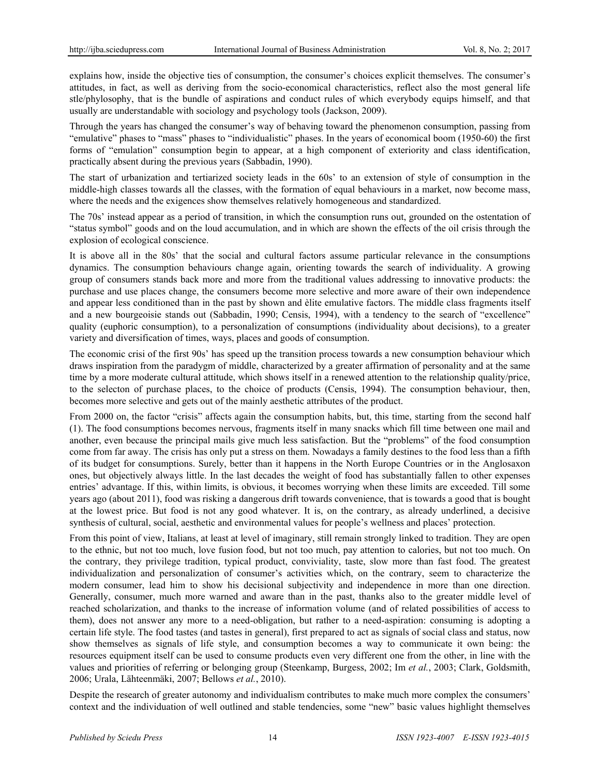explains how, inside the objective ties of consumption, the consumer's choices explicit themselves. The consumer's attitudes, in fact, as well as deriving from the socio-economical characteristics, reflect also the most general life stle/phylosophy, that is the bundle of aspirations and conduct rules of which everybody equips himself, and that usually are understandable with sociology and psychology tools (Jackson, 2009).

Through the years has changed the consumer's way of behaving toward the phenomenon consumption, passing from "emulative" phases to "mass" phases to "individualistic" phases. In the years of economical boom (1950-60) the first forms of "emulation" consumption begin to appear, at a high component of exteriority and class identification, practically absent during the previous years (Sabbadin, 1990).

The start of urbanization and tertiarized society leads in the 60s' to an extension of style of consumption in the middle-high classes towards all the classes, with the formation of equal behaviours in a market, now become mass, where the needs and the exigences show themselves relatively homogeneous and standardized.

The 70s' instead appear as a period of transition, in which the consumption runs out, grounded on the ostentation of "status symbol" goods and on the loud accumulation, and in which are shown the effects of the oil crisis through the explosion of ecological conscience.

It is above all in the 80s' that the social and cultural factors assume particular relevance in the consumptions dynamics. The consumption behaviours change again, orienting towards the search of individuality. A growing group of consumers stands back more and more from the traditional values addressing to innovative products: the purchase and use places change, the consumers become more selective and more aware of their own independence and appear less conditioned than in the past by shown and èlite emulative factors. The middle class fragments itself and a new bourgeoisie stands out (Sabbadin, 1990; Censis, 1994), with a tendency to the search of "excellence" quality (euphoric consumption), to a personalization of consumptions (individuality about decisions), to a greater variety and diversification of times, ways, places and goods of consumption.

The economic crisi of the first 90s' has speed up the transition process towards a new consumption behaviour which draws inspiration from the paradygm of middle, characterized by a greater affirmation of personality and at the same time by a more moderate cultural attitude, which shows itself in a renewed attention to the relationship quality/price, to the selecton of purchase places, to the choice of products (Censis, 1994). The consumption behaviour, then, becomes more selective and gets out of the mainly aesthetic attributes of the product.

From 2000 on, the factor "crisis" affects again the consumption habits, but, this time, starting from the second half (1). The food consumptions becomes nervous, fragments itself in many snacks which fill time between one mail and another, even because the principal mails give much less satisfaction. But the "problems" of the food consumption come from far away. The crisis has only put a stress on them. Nowadays a family destines to the food less than a fifth of its budget for consumptions. Surely, better than it happens in the North Europe Countries or in the Anglosaxon ones, but objectively always little. In the last decades the weight of food has substantially fallen to other expenses entries' advantage. If this, within limits, is obvious, it becomes worrying when these limits are exceeded. Till some years ago (about 2011), food was risking a dangerous drift towards convenience, that is towards a good that is bought at the lowest price. But food is not any good whatever. It is, on the contrary, as already underlined, a decisive synthesis of cultural, social, aesthetic and environmental values for people's wellness and places' protection.

From this point of view, Italians, at least at level of imaginary, still remain strongly linked to tradition. They are open to the ethnic, but not too much, love fusion food, but not too much, pay attention to calories, but not too much. On the contrary, they privilege tradition, typical product, conviviality, taste, slow more than fast food. The greatest individualization and personalization of consumer's activities which, on the contrary, seem to characterize the modern consumer, lead him to show his decisional subjectivity and independence in more than one direction. Generally, consumer, much more warned and aware than in the past, thanks also to the greater middle level of reached scholarization, and thanks to the increase of information volume (and of related possibilities of access to them), does not answer any more to a need-obligation, but rather to a need-aspiration: consuming is adopting a certain life style. The food tastes (and tastes in general), first prepared to act as signals of social class and status, now show themselves as signals of life style, and consumption becomes a way to communicate it own being: the resources equipment itself can be used to consume products even very different one from the other, in line with the values and priorities of referring or belonging group (Steenkamp, Burgess, 2002; Im *et al.*, 2003; Clark, Goldsmith, 2006; Urala, Lähteenmäki, 2007; Bellows *et al.*, 2010).

Despite the research of greater autonomy and individualism contributes to make much more complex the consumers' context and the individuation of well outlined and stable tendencies, some "new" basic values highlight themselves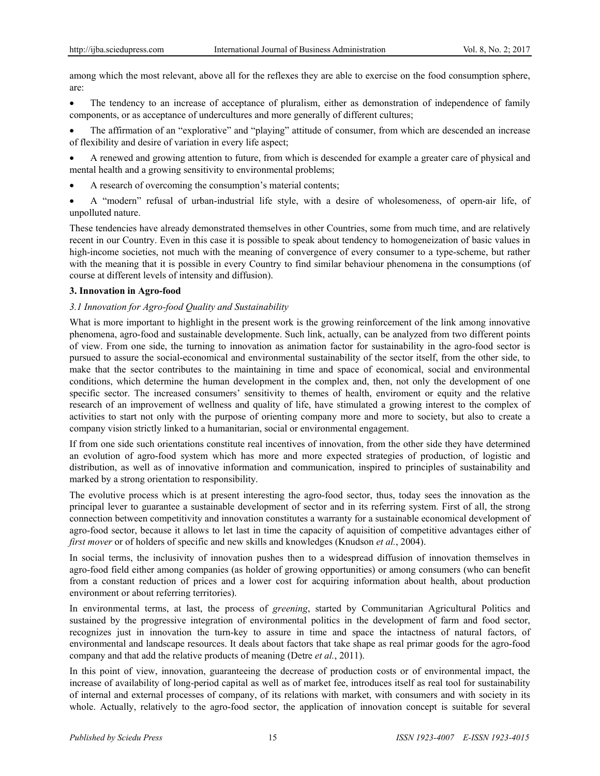among which the most relevant, above all for the reflexes they are able to exercise on the food consumption sphere, are:

 The tendency to an increase of acceptance of pluralism, either as demonstration of independence of family components, or as acceptance of undercultures and more generally of different cultures;

 The affirmation of an "explorative" and "playing" attitude of consumer, from which are descended an increase of flexibility and desire of variation in every life aspect;

- A renewed and growing attention to future, from which is descended for example a greater care of physical and mental health and a growing sensitivity to environmental problems;
- A research of overcoming the consumption's material contents;
- A "modern" refusal of urban-industrial life style, with a desire of wholesomeness, of opern-air life, of unpolluted nature.

These tendencies have already demonstrated themselves in other Countries, some from much time, and are relatively recent in our Country. Even in this case it is possible to speak about tendency to homogeneization of basic values in high-income societies, not much with the meaning of convergence of every consumer to a type-scheme, but rather with the meaning that it is possible in every Country to find similar behaviour phenomena in the consumptions (of course at different levels of intensity and diffusion).

## **3. Innovation in Agro-food**

## *3.1 Innovation for Agro-food Quality and Sustainability*

What is more important to highlight in the present work is the growing reinforcement of the link among innovative phenomena, agro-food and sustainable developmente. Such link, actually, can be analyzed from two different points of view. From one side, the turning to innovation as animation factor for sustainability in the agro-food sector is pursued to assure the social-economical and environmental sustainability of the sector itself, from the other side, to make that the sector contributes to the maintaining in time and space of economical, social and environmental conditions, which determine the human development in the complex and, then, not only the development of one specific sector. The increased consumers' sensitivity to themes of health, enviroment or equity and the relative research of an improvement of wellness and quality of life, have stimulated a growing interest to the complex of activities to start not only with the purpose of orienting company more and more to society, but also to create a company vision strictly linked to a humanitarian, social or environmental engagement.

If from one side such orientations constitute real incentives of innovation, from the other side they have determined an evolution of agro-food system which has more and more expected strategies of production, of logistic and distribution, as well as of innovative information and communication, inspired to principles of sustainability and marked by a strong orientation to responsibility.

The evolutive process which is at present interesting the agro-food sector, thus, today sees the innovation as the principal lever to guarantee a sustainable development of sector and in its referring system. First of all, the strong connection between competitivity and innovation constitutes a warranty for a sustainable economical development of agro-food sector, because it allows to let last in time the capacity of aquisition of competitive advantages either of *first mover* or of holders of specific and new skills and knowledges (Knudson *et al.*, 2004).

In social terms, the inclusivity of innovation pushes then to a widespread diffusion of innovation themselves in agro-food field either among companies (as holder of growing opportunities) or among consumers (who can benefit from a constant reduction of prices and a lower cost for acquiring information about health, about production environment or about referring territories).

In environmental terms, at last, the process of *greening*, started by Communitarian Agricultural Politics and sustained by the progressive integration of environmental politics in the development of farm and food sector, recognizes just in innovation the turn-key to assure in time and space the intactness of natural factors, of environmental and landscape resources. It deals about factors that take shape as real primar goods for the agro-food company and that add the relative products of meaning (Detre *et al.*, 2011).

In this point of view, innovation, guaranteeing the decrease of production costs or of environmental impact, the increase of availability of long-period capital as well as of market fee, introduces itself as real tool for sustainability of internal and external processes of company, of its relations with market, with consumers and with society in its whole. Actually, relatively to the agro-food sector, the application of innovation concept is suitable for several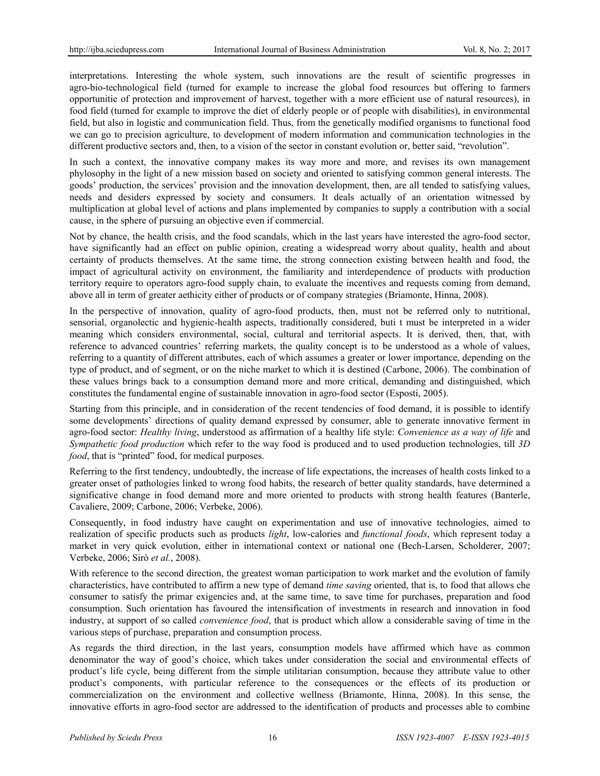interpretations. Interesting the whole system, such innovations are the result of scientific progresses in agro-bio-technological field (turned for example to increase the global food resources but offering to farmers opportunitie of protection and improvement of harvest, together with a more efficient use of natural resources), in food field (turned for example to improve the diet of elderly people or of people with disabilities), in environmental field, but also in logistic and communication field. Thus, from the genetically modified organisms to functional food we can go to precision agriculture, to development of modern information and communication technologies in the different productive sectors and, then, to a vision of the sector in constant evolution or, better said, "revolution".

In such a context, the innovative company makes its way more and more, and revises its own management phylosophy in the light of a new mission based on society and oriented to satisfying common general interests. The goods' production, the services' provision and the innovation development, then, are all tended to satisfying values, needs and desiders expressed by society and consumers. It deals actually of an orientation witnessed by multiplication at global level of actions and plans implemented by companies to supply a contribution with a social cause, in the sphere of pursuing an objective even if commercial.

Not by chance, the health crisis, and the food scandals, which in the last years have interested the agro-food sector, have significantly had an effect on public opinion, creating a widespread worry about quality, health and about certainty of products themselves. At the same time, the strong connection existing between health and food, the impact of agricultural activity on environment, the familiarity and interdependence of products with production territory require to operators agro-food supply chain, to evaluate the incentives and requests coming from demand, above all in term of greater aethicity either of products or of company strategies (Briamonte, Hinna, 2008).

In the perspective of innovation, quality of agro-food products, then, must not be referred only to nutritional, sensorial, organolectic and hygienic-health aspects, traditionally considered, buti t must be interpreted in a wider meaning which considers environmental, social, cultural and territorial aspects. It is derived, then, that, with reference to advanced countries' referring markets, the quality concept is to be understood as a whole of values, referring to a quantity of different attributes, each of which assumes a greater or lower importance, depending on the type of product, and of segment, or on the niche market to which it is destined (Carbone, 2006). The combination of these values brings back to a consumption demand more and more critical, demanding and distinguished, which constitutes the fundamental engine of sustainable innovation in agro-food sector (Esposti, 2005).

Starting from this principle, and in consideration of the recent tendencies of food demand, it is possible to identify some developments' directions of quality demand expressed by consumer, able to generate innovative ferment in agro-food sector: *Healthy living*, understood as affirmation of a healthy life style: *Convenience as a way of life* and *Sympathetic food production* which refer to the way food is produced and to used production technologies, till *3D food*, that is "printed" food, for medical purposes.

Referring to the first tendency, undoubtedly, the increase of life expectations, the increases of health costs linked to a greater onset of pathologies linked to wrong food habits, the research of better quality standards, have determined a significative change in food demand more and more oriented to products with strong health features (Banterle, Cavaliere, 2009; Carbone, 2006; Verbeke, 2006).

Consequently, in food industry have caught on experimentation and use of innovative technologies, aimed to realization of specific products such as products *light*, low-calories and *functional foods*, which represent today a market in very quick evolution, either in international context or national one (Bech-Larsen, Scholderer, 2007; Verbeke, 2006; Sirò *et al.*, 2008).

With reference to the second direction, the greatest woman participation to work market and the evolution of family characteristics, have contributed to affirm a new type of demand *time saving* oriented, that is, to food that allows che consumer to satisfy the primar exigencies and, at the same time, to save time for purchases, preparation and food consumption. Such orientation has favoured the intensification of investments in research and innovation in food industry, at support of so called *convenience food*, that is product which allow a considerable saving of time in the various steps of purchase, preparation and consumption process.

As regards the third direction, in the last years, consumption models have affirmed which have as common denominator the way of good's choice, which takes under consideration the social and environmental effects of product's life cycle, being different from the simple utilitarian consumption, because they attribute value to other product's components, with particular reference to the consequences or the effects of its production or commercialization on the environment and collective wellness (Briamonte, Hinna, 2008). In this sense, the innovative efforts in agro-food sector are addressed to the identification of products and processes able to combine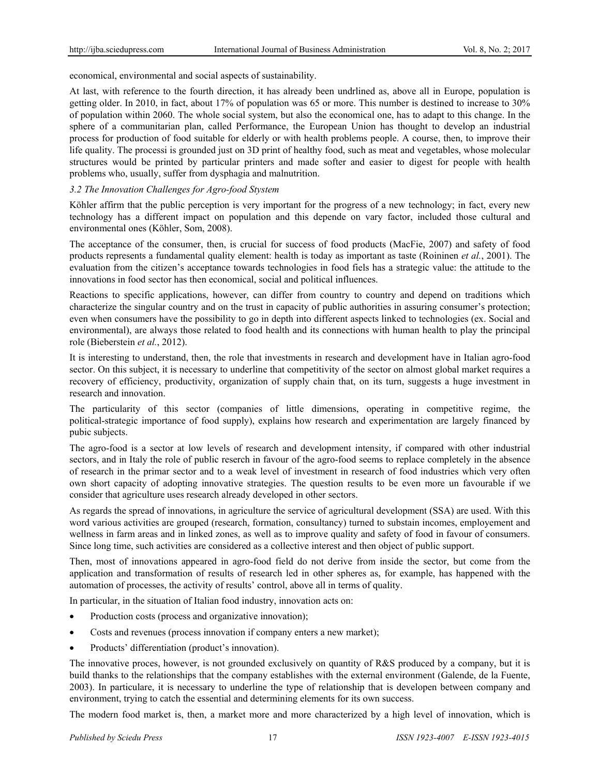economical, environmental and social aspects of sustainability.

At last, with reference to the fourth direction, it has already been undrlined as, above all in Europe, population is getting older. In 2010, in fact, about 17% of population was 65 or more. This number is destined to increase to 30% of population within 2060. The whole social system, but also the economical one, has to adapt to this change. In the sphere of a communitarian plan, called Performance, the European Union has thought to develop an industrial process for production of food suitable for elderly or with health problems people. A course, then, to improve their life quality. The processi is grounded just on 3D print of healthy food, such as meat and vegetables, whose molecular structures would be printed by particular printers and made softer and easier to digest for people with health problems who, usually, suffer from dysphagia and malnutrition.

# *3.2 The Innovation Challenges for Agro-food Stystem*

Köhler affirm that the public perception is very important for the progress of a new technology; in fact, every new technology has a different impact on population and this depende on vary factor, included those cultural and environmental ones (Köhler, Som, 2008).

The acceptance of the consumer, then, is crucial for success of food products (MacFie, 2007) and safety of food products represents a fundamental quality element: health is today as important as taste (Roininen *et al.*, 2001). The evaluation from the citizen's acceptance towards technologies in food fiels has a strategic value: the attitude to the innovations in food sector has then economical, social and political influences.

Reactions to specific applications, however, can differ from country to country and depend on traditions which characterize the singular country and on the trust in capacity of public authorities in assuring consumer's protection; even when consumers have the possibility to go in depth into different aspects linked to technologies (ex. Social and environmental), are always those related to food health and its connections with human health to play the principal role (Bieberstein *et al.*, 2012).

It is interesting to understand, then, the role that investments in research and development have in Italian agro-food sector. On this subject, it is necessary to underline that competitivity of the sector on almost global market requires a recovery of efficiency, productivity, organization of supply chain that, on its turn, suggests a huge investment in research and innovation.

The particularity of this sector (companies of little dimensions, operating in competitive regime, the political-strategic importance of food supply), explains how research and experimentation are largely financed by pubic subjects.

The agro-food is a sector at low levels of research and development intensity, if compared with other industrial sectors, and in Italy the role of public reserch in favour of the agro-food seems to replace completely in the absence of research in the primar sector and to a weak level of investment in research of food industries which very often own short capacity of adopting innovative strategies. The question results to be even more un favourable if we consider that agriculture uses research already developed in other sectors.

As regards the spread of innovations, in agriculture the service of agricultural development (SSA) are used. With this word various activities are grouped (research, formation, consultancy) turned to substain incomes, employement and wellness in farm areas and in linked zones, as well as to improve quality and safety of food in favour of consumers. Since long time, such activities are considered as a collective interest and then object of public support.

Then, most of innovations appeared in agro-food field do not derive from inside the sector, but come from the application and transformation of results of research led in other spheres as, for example, has happened with the automation of processes, the activity of results' control, above all in terms of quality.

In particular, in the situation of Italian food industry, innovation acts on:

- Production costs (process and organizative innovation);
- Costs and revenues (process innovation if company enters a new market);
- Products' differentiation (product's innovation).

The innovative proces, however, is not grounded exclusively on quantity of R&S produced by a company, but it is build thanks to the relationships that the company establishes with the external environment (Galende, de la Fuente, 2003). In particulare, it is necessary to underline the type of relationship that is developen between company and environment, trying to catch the essential and determining elements for its own success.

The modern food market is, then, a market more and more characterized by a high level of innovation, which is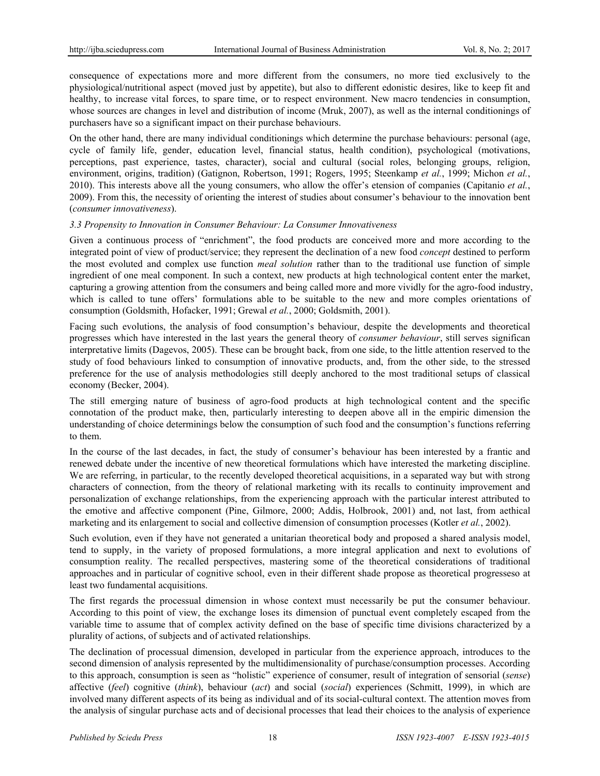consequence of expectations more and more different from the consumers, no more tied exclusively to the physiological/nutritional aspect (moved just by appetite), but also to different edonistic desires, like to keep fit and healthy, to increase vital forces, to spare time, or to respect environment. New macro tendencies in consumption, whose sources are changes in level and distribution of income (Mruk, 2007), as well as the internal conditionings of purchasers have so a significant impact on their purchase behaviours.

On the other hand, there are many individual conditionings which determine the purchase behaviours: personal (age, cycle of family life, gender, education level, financial status, health condition), psychological (motivations, perceptions, past experience, tastes, character), social and cultural (social roles, belonging groups, religion, environment, origins, tradition) (Gatignon, Robertson, 1991; Rogers, 1995; Steenkamp *et al.*, 1999; Michon *et al.*, 2010). This interests above all the young consumers, who allow the offer's etension of companies (Capitanio *et al.*, 2009). From this, the necessity of orienting the interest of studies about consumer's behaviour to the innovation bent (*consumer innovativeness*).

#### *3.3 Propensity to Innovation in Consumer Behaviour: La Consumer Innovativeness*

Given a continuous process of "enrichment", the food products are conceived more and more according to the integrated point of view of product/service; they represent the declination of a new food *concept* destined to perform the most evoluted and complex use function *meal solution* rather than to the traditional use function of simple ingredient of one meal component. In such a context, new products at high technological content enter the market, capturing a growing attention from the consumers and being called more and more vividly for the agro-food industry, which is called to tune offers' formulations able to be suitable to the new and more comples orientations of consumption (Goldsmith, Hofacker, 1991; Grewal *et al.*, 2000; Goldsmith, 2001).

Facing such evolutions, the analysis of food consumption's behaviour, despite the developments and theoretical progresses which have interested in the last years the general theory of *consumer behaviour*, still serves significan interpretative limits (Dagevos, 2005). These can be brought back, from one side, to the little attention reserved to the study of food behaviours linked to consumption of innovative products, and, from the other side, to the stressed preference for the use of analysis methodologies still deeply anchored to the most traditional setups of classical economy (Becker, 2004).

The still emerging nature of business of agro-food products at high technological content and the specific connotation of the product make, then, particularly interesting to deepen above all in the empiric dimension the understanding of choice determinings below the consumption of such food and the consumption's functions referring to them.

In the course of the last decades, in fact, the study of consumer's behaviour has been interested by a frantic and renewed debate under the incentive of new theoretical formulations which have interested the marketing discipline. We are referring, in particular, to the recently developed theoretical acquisitions, in a separated way but with strong characters of connection, from the theory of relational marketing with its recalls to continuity improvement and personalization of exchange relationships, from the experiencing approach with the particular interest attributed to the emotive and affective component (Pine, Gilmore, 2000; Addis, Holbrook, 2001) and, not last, from aethical marketing and its enlargement to social and collective dimension of consumption processes (Kotler *et al.*, 2002).

Such evolution, even if they have not generated a unitarian theoretical body and proposed a shared analysis model, tend to supply, in the variety of proposed formulations, a more integral application and next to evolutions of consumption reality. The recalled perspectives, mastering some of the theoretical considerations of traditional approaches and in particular of cognitive school, even in their different shade propose as theoretical progresseso at least two fundamental acquisitions.

The first regards the processual dimension in whose context must necessarily be put the consumer behaviour. According to this point of view, the exchange loses its dimension of punctual event completely escaped from the variable time to assume that of complex activity defined on the base of specific time divisions characterized by a plurality of actions, of subjects and of activated relationships.

The declination of processual dimension, developed in particular from the experience approach, introduces to the second dimension of analysis represented by the multidimensionality of purchase/consumption processes. According to this approach, consumption is seen as "holistic" experience of consumer, result of integration of sensorial (*sense*) affective (*feel*) cognitive (*think*), behaviour (*act*) and social (*social*) experiences (Schmitt, 1999), in which are involved many different aspects of its being as individual and of its social-cultural context. The attention moves from the analysis of singular purchase acts and of decisional processes that lead their choices to the analysis of experience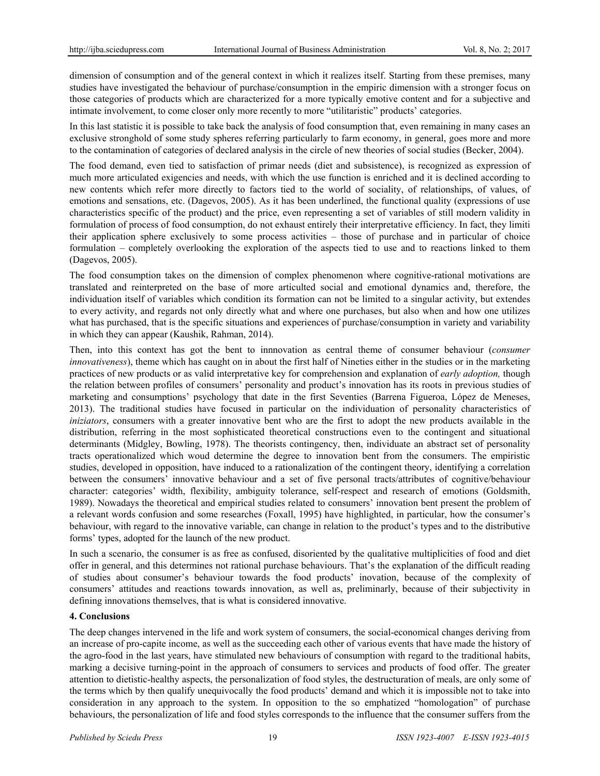dimension of consumption and of the general context in which it realizes itself. Starting from these premises, many studies have investigated the behaviour of purchase/consumption in the empiric dimension with a stronger focus on those categories of products which are characterized for a more typically emotive content and for a subjective and intimate involvement, to come closer only more recently to more "utilitaristic" products' categories.

In this last statistic it is possible to take back the analysis of food consumption that, even remaining in many cases an exclusive stronghold of some study spheres referring particularly to farm economy, in general, goes more and more to the contamination of categories of declared analysis in the circle of new theories of social studies (Becker, 2004).

The food demand, even tied to satisfaction of primar needs (diet and subsistence), is recognized as expression of much more articulated exigencies and needs, with which the use function is enriched and it is declined according to new contents which refer more directly to factors tied to the world of sociality, of relationships, of values, of emotions and sensations, etc. (Dagevos, 2005). As it has been underlined, the functional quality (expressions of use characteristics specific of the product) and the price, even representing a set of variables of still modern validity in formulation of process of food consumption, do not exhaust entirely their interpretative efficiency. In fact, they limiti their application sphere exclusively to some process activities – those of purchase and in particular of choice formulation – completely overlooking the exploration of the aspects tied to use and to reactions linked to them (Dagevos, 2005).

The food consumption takes on the dimension of complex phenomenon where cognitive-rational motivations are translated and reinterpreted on the base of more articulted social and emotional dynamics and, therefore, the individuation itself of variables which condition its formation can not be limited to a singular activity, but extendes to every activity, and regards not only directly what and where one purchases, but also when and how one utilizes what has purchased, that is the specific situations and experiences of purchase/consumption in variety and variability in which they can appear (Kaushik, Rahman, 2014).

Then, into this context has got the bent to innnovation as central theme of consumer behaviour (*consumer innovativeness*), theme which has caught on in about the first half of Nineties either in the studies or in the marketing practices of new products or as valid interpretative key for comprehension and explanation of *early adoption,* though the relation between profiles of consumers' personality and product's innovation has its roots in previous studies of marketing and consumptions' psychology that date in the first Seventies (Barrena Figueroa, López de Meneses, 2013). The traditional studies have focused in particular on the individuation of personality characteristics of *iniziators*, consumers with a greater innovative bent who are the first to adopt the new products available in the distribution, referring in the most sophisticated theoretical constructions even to the contingent and situational determinants (Midgley, Bowling, 1978). The theorists contingency, then, individuate an abstract set of personality tracts operationalized which woud determine the degree to innovation bent from the consumers. The empiristic studies, developed in opposition, have induced to a rationalization of the contingent theory, identifying a correlation between the consumers' innovative behaviour and a set of five personal tracts/attributes of cognitive/behaviour character: categories' width, flexibility, ambiguity tolerance, self-respect and research of emotions (Goldsmith, 1989). Nowadays the theoretical and empirical studies related to consumers' innovation bent present the problem of a relevant words confusion and some researches (Foxall, 1995) have highlighted, in particular, how the consumer's behaviour, with regard to the innovative variable, can change in relation to the product's types and to the distributive forms' types, adopted for the launch of the new product.

In such a scenario, the consumer is as free as confused, disoriented by the qualitative multiplicities of food and diet offer in general, and this determines not rational purchase behaviours. That's the explanation of the difficult reading of studies about consumer's behaviour towards the food products' inovation, because of the complexity of consumers' attitudes and reactions towards innovation, as well as, preliminarly, because of their subjectivity in defining innovations themselves, that is what is considered innovative.

#### **4. Conclusions**

The deep changes intervened in the life and work system of consumers, the social-economical changes deriving from an increase of pro-capite income, as well as the succeeding each other of various events that have made the history of the agro-food in the last years, have stimulated new behaviours of consumption with regard to the traditional habits, marking a decisive turning-point in the approach of consumers to services and products of food offer. The greater attention to dietistic-healthy aspects, the personalization of food styles, the destructuration of meals, are only some of the terms which by then qualify unequivocally the food products' demand and which it is impossible not to take into consideration in any approach to the system. In opposition to the so emphatized "homologation" of purchase behaviours, the personalization of life and food styles corresponds to the influence that the consumer suffers from the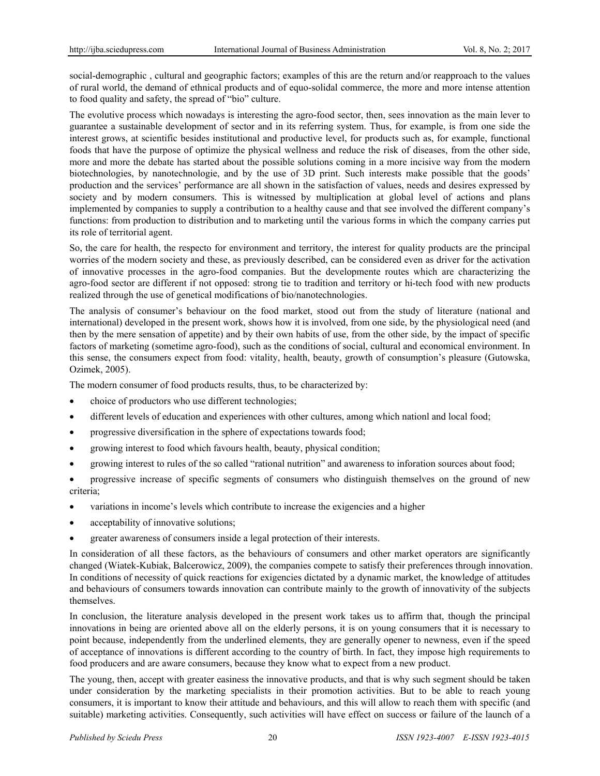social-demographic , cultural and geographic factors; examples of this are the return and/or reapproach to the values of rural world, the demand of ethnical products and of equo-solidal commerce, the more and more intense attention to food quality and safety, the spread of "bio" culture.

The evolutive process which nowadays is interesting the agro-food sector, then, sees innovation as the main lever to guarantee a sustainable development of sector and in its referring system. Thus, for example, is from one side the interest grows, at scientific besides institutional and productive level, for products such as, for example, functional foods that have the purpose of optimize the physical wellness and reduce the risk of diseases, from the other side, more and more the debate has started about the possible solutions coming in a more incisive way from the modern biotechnologies, by nanotechnologie, and by the use of 3D print. Such interests make possible that the goods' production and the services' performance are all shown in the satisfaction of values, needs and desires expressed by society and by modern consumers. This is witnessed by multiplication at global level of actions and plans implemented by companies to supply a contribution to a healthy cause and that see involved the different company's functions: from production to distribution and to marketing until the various forms in which the company carries put its role of territorial agent.

So, the care for health, the respecto for environment and territory, the interest for quality products are the principal worries of the modern society and these, as previously described, can be considered even as driver for the activation of innovative processes in the agro-food companies. But the developmente routes which are characterizing the agro-food sector are different if not opposed: strong tie to tradition and territory or hi-tech food with new products realized through the use of genetical modifications of bio/nanotechnologies.

The analysis of consumer's behaviour on the food market, stood out from the study of literature (national and international) developed in the present work, shows how it is involved, from one side, by the physiological need (and then by the mere sensation of appetite) and by their own habits of use, from the other side, by the impact of specific factors of marketing (sometime agro-food), such as the conditions of social, cultural and economical environment. In this sense, the consumers expect from food: vitality, health, beauty, growth of consumption's pleasure (Gutowska, Ozimek, 2005).

The modern consumer of food products results, thus, to be characterized by:

- choice of productors who use different technologies;
- different levels of education and experiences with other cultures, among which nationl and local food;
- progressive diversification in the sphere of expectations towards food;
- growing interest to food which favours health, beauty, physical condition;
- growing interest to rules of the so called "rational nutrition" and awareness to inforation sources about food;

 progressive increase of specific segments of consumers who distinguish themselves on the ground of new criteria;

- variations in income's levels which contribute to increase the exigencies and a higher
- acceptability of innovative solutions;
- greater awareness of consumers inside a legal protection of their interests.

In consideration of all these factors, as the behaviours of consumers and other market operators are significantly changed (Wiatek-Kubiak, Balcerowicz, 2009), the companies compete to satisfy their preferences through innovation. In conditions of necessity of quick reactions for exigencies dictated by a dynamic market, the knowledge of attitudes and behaviours of consumers towards innovation can contribute mainly to the growth of innovativity of the subjects themselves.

In conclusion, the literature analysis developed in the present work takes us to affirm that, though the principal innovations in being are oriented above all on the elderly persons, it is on young consumers that it is necessary to point because, independently from the underlined elements, they are generally opener to newness, even if the speed of acceptance of innovations is different according to the country of birth. In fact, they impose high requirements to food producers and are aware consumers, because they know what to expect from a new product.

The young, then, accept with greater easiness the innovative products, and that is why such segment should be taken under consideration by the marketing specialists in their promotion activities. But to be able to reach young consumers, it is important to know their attitude and behaviours, and this will allow to reach them with specific (and suitable) marketing activities. Consequently, such activities will have effect on success or failure of the launch of a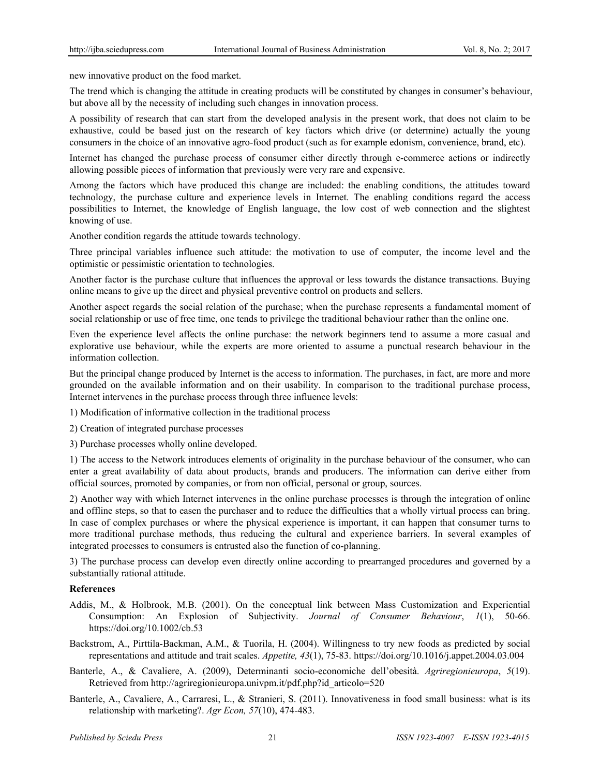new innovative product on the food market.

The trend which is changing the attitude in creating products will be constituted by changes in consumer's behaviour, but above all by the necessity of including such changes in innovation process.

A possibility of research that can start from the developed analysis in the present work, that does not claim to be exhaustive, could be based just on the research of key factors which drive (or determine) actually the young consumers in the choice of an innovative agro-food product (such as for example edonism, convenience, brand, etc).

Internet has changed the purchase process of consumer either directly through e-commerce actions or indirectly allowing possible pieces of information that previously were very rare and expensive.

Among the factors which have produced this change are included: the enabling conditions, the attitudes toward technology, the purchase culture and experience levels in Internet. The enabling conditions regard the access possibilities to Internet, the knowledge of English language, the low cost of web connection and the slightest knowing of use.

Another condition regards the attitude towards technology.

Three principal variables influence such attitude: the motivation to use of computer, the income level and the optimistic or pessimistic orientation to technologies.

Another factor is the purchase culture that influences the approval or less towards the distance transactions. Buying online means to give up the direct and physical preventive control on products and sellers.

Another aspect regards the social relation of the purchase; when the purchase represents a fundamental moment of social relationship or use of free time, one tends to privilege the traditional behaviour rather than the online one.

Even the experience level affects the online purchase: the network beginners tend to assume a more casual and explorative use behaviour, while the experts are more oriented to assume a punctual research behaviour in the information collection.

But the principal change produced by Internet is the access to information. The purchases, in fact, are more and more grounded on the available information and on their usability. In comparison to the traditional purchase process, Internet intervenes in the purchase process through three influence levels:

1) Modification of informative collection in the traditional process

2) Creation of integrated purchase processes

3) Purchase processes wholly online developed.

1) The access to the Network introduces elements of originality in the purchase behaviour of the consumer, who can enter a great availability of data about products, brands and producers. The information can derive either from official sources, promoted by companies, or from non official, personal or group, sources.

2) Another way with which Internet intervenes in the online purchase processes is through the integration of online and offline steps, so that to easen the purchaser and to reduce the difficulties that a wholly virtual process can bring. In case of complex purchases or where the physical experience is important, it can happen that consumer turns to more traditional purchase methods, thus reducing the cultural and experience barriers. In several examples of integrated processes to consumers is entrusted also the function of co-planning.

3) The purchase process can develop even directly online according to prearranged procedures and governed by a substantially rational attitude.

#### **References**

- Addis, M., & Holbrook, M.B. (2001). On the conceptual link between Mass Customization and Experiential Consumption: An Explosion of Subjectivity. *Journal of Consumer Behaviour*, *1*(1), 50-66. https://doi.org/10.1002/cb.53
- Backstrom, A., Pirttila-Backman, A.M., & Tuorila, H. (2004). Willingness to try new foods as predicted by social representations and attitude and trait scales. *Appetite, 43*(1), 75-83. https://doi.org/10.1016/j.appet.2004.03.004
- Banterle, A., & Cavaliere, A. (2009), Determinanti socio-economiche dell'obesità. *Agriregionieuropa*, *5*(19). Retrieved from http://agriregionieuropa.univpm.it/pdf.php?id\_articolo=520
- Banterle, A., Cavaliere, A., Carraresi, L., & Stranieri, S. (2011). Innovativeness in food small business: what is its relationship with marketing?. *Agr Econ, 57*(10), 474-483.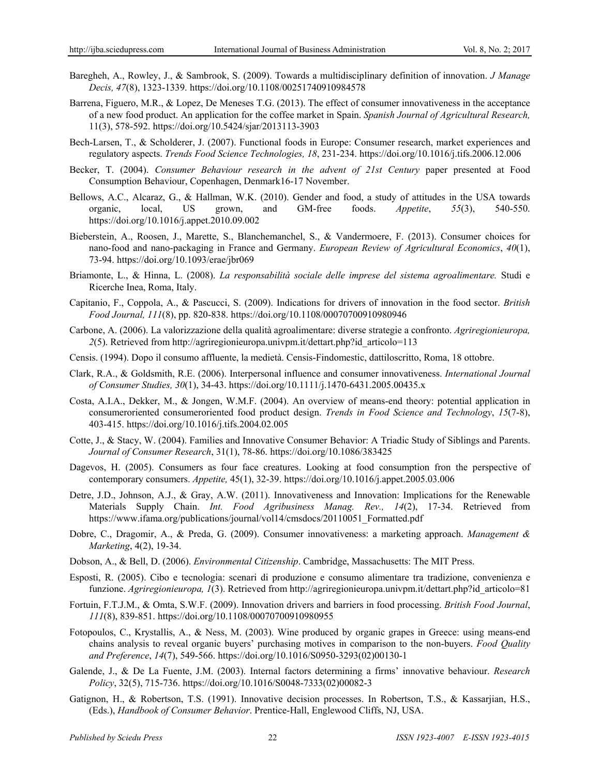- Baregheh, A., Rowley, J., & Sambrook, S. (2009). Towards a multidisciplinary definition of innovation. *J Manage Decis, 47*(8), 1323-1339. https://doi.org/10.1108/00251740910984578
- Barrena, Figuero, M.R., & Lopez, De Meneses T.G. (2013). The effect of consumer innovativeness in the acceptance of a new food product. An application for the coffee market in Spain. *Spanish Journal of Agricultural Research,*  11(3), 578-592. https://doi.org/10.5424/sjar/2013113-3903
- Bech-Larsen, T., & Scholderer, J. (2007). Functional foods in Europe: Consumer research, market experiences and regulatory aspects. *Trends Food Science Technologies, 18*, 231-234. https://doi.org/10.1016/j.tifs.2006.12.006
- Becker, T. (2004). *Consumer Behaviour research in the advent of 21st Century* paper presented at Food Consumption Behaviour, Copenhagen, Denmark16-17 November.
- Bellows, A.C., Alcaraz, G., & Hallman, W.K. (2010). Gender and food, a study of attitudes in the USA towards organic, local, US grown, and GM-free foods. *Appetite*, *55*(3), 540-550. https://doi.org/10.1016/j.appet.2010.09.002
- Bieberstein, A., Roosen, J., Marette, S., Blanchemanchel, S., & Vandermoere, F. (2013). Consumer choices for nano-food and nano-packaging in France and Germany. *European Review of Agricultural Economics*, *40*(1), 73-94. https://doi.org/10.1093/erae/jbr069
- Briamonte, L., & Hinna, L. (2008). *La responsabilità sociale delle imprese del sistema agroalimentare.* Studi e Ricerche Inea, Roma, Italy.
- Capitanio, F., Coppola, A., & Pascucci, S. (2009). Indications for drivers of innovation in the food sector. *British Food Journal, 111*(8), pp. 820-838. https://doi.org/10.1108/00070700910980946
- Carbone, A. (2006). La valorizzazione della qualità agroalimentare: diverse strategie a confronto. *Agriregionieuropa, 2*(5). Retrieved from http://agriregionieuropa.univpm.it/dettart.php?id\_articolo=113
- Censis. (1994). Dopo il consumo affluente, la medietà. Censis-Findomestic, dattiloscritto, Roma, 18 ottobre.
- Clark, R.A., & Goldsmith, R.E. (2006). Interpersonal influence and consumer innovativeness. *International Journal of Consumer Studies, 30*(1), 34-43. https://doi.org/10.1111/j.1470-6431.2005.00435.x
- Costa, A.I.A., Dekker, M., & Jongen, W.M.F. (2004). An overview of means-end theory: potential application in consumeroriented consumeroriented food product design. *Trends in Food Science and Technology*, *15*(7-8), 403-415. https://doi.org/10.1016/j.tifs.2004.02.005
- Cotte, J., & Stacy, W. (2004). Families and Innovative Consumer Behavior: A Triadic Study of Siblings and Parents. *Journal of Consumer Research*, 31(1), 78-86. https://doi.org/10.1086/383425
- Dagevos, H. (2005). Consumers as four face creatures. Looking at food consumption fron the perspective of contemporary consumers. *Appetite,* 45(1), 32-39. https://doi.org/10.1016/j.appet.2005.03.006
- Detre, J.D., Johnson, A.J., & Gray, A.W. (2011). Innovativeness and Innovation: Implications for the Renewable Materials Supply Chain. *Int. Food Agribusiness Manag. Rev., 14*(2), 17-34. Retrieved from https://www.ifama.org/publications/journal/vol14/cmsdocs/20110051\_Formatted.pdf
- Dobre, C., Dragomir, A., & Preda, G. (2009). Consumer innovativeness: a marketing approach. *Management & Marketing*, 4(2), 19-34.
- Dobson, A., & Bell, D. (2006). *Environmental Citizenship*. Cambridge, Massachusetts: The MIT Press.
- Esposti, R. (2005). Cibo e tecnologia: scenari di produzione e consumo alimentare tra tradizione, convenienza e funzione. *Agriregionieuropa, 1*(3). Retrieved from http://agriregionieuropa.univpm.it/dettart.php?id\_articolo=81
- Fortuin, F.T.J.M., & Omta, S.W.F. (2009). Innovation drivers and barriers in food processing. *British Food Journal*, *111*(8), 839-851. https://doi.org/10.1108/00070700910980955
- Fotopoulos, C., Krystallis, A., & Ness, M. (2003). Wine produced by organic grapes in Greece: using means-end chains analysis to reveal organic buyers' purchasing motives in comparison to the non-buyers. *Food Quality and Preference*, *14*(7), 549-566. https://doi.org/10.1016/S0950-3293(02)00130-1
- Galende, J., & De La Fuente, J.M. (2003). Internal factors determining a firms' innovative behaviour. *Research Policy*, 32(5), 715-736. https://doi.org/10.1016/S0048-7333(02)00082-3
- Gatignon, H., & Robertson, T.S. (1991). Innovative decision processes. In Robertson, T.S., & Kassarjian, H.S., (Eds.), *Handbook of Consumer Behavior*. Prentice-Hall, Englewood Cliffs, NJ, USA.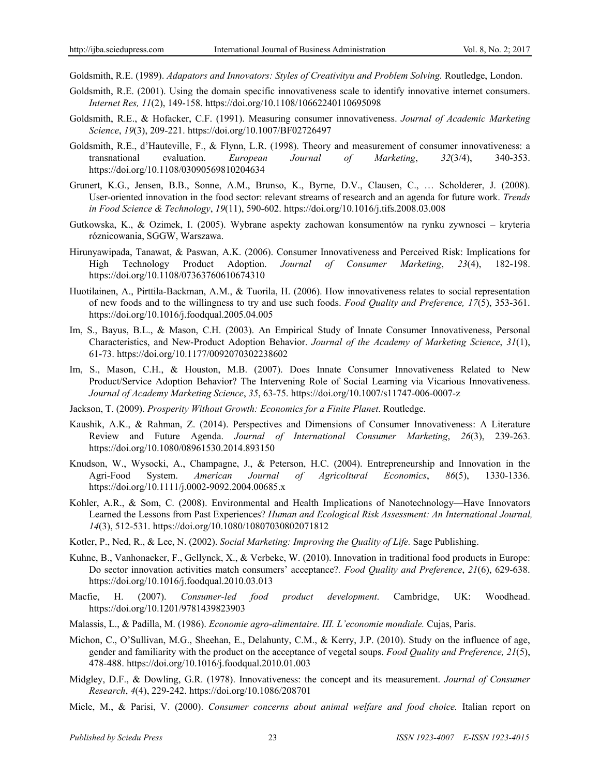Goldsmith, R.E. (1989). *Adapators and Innovators: Styles of Creativityu and Problem Solving.* Routledge, London.

- Goldsmith, R.E. (2001). Using the domain specific innovativeness scale to identify innovative internet consumers. *Internet Res, 11*(2), 149-158. https://doi.org/10.1108/10662240110695098
- Goldsmith, R.E., & Hofacker, C.F. (1991). Measuring consumer innovativeness. *Journal of Academic Marketing Science*, *19*(3), 209-221. https://doi.org/10.1007/BF02726497
- Goldsmith, R.E., d'Hauteville, F., & Flynn, L.R. (1998). Theory and measurement of consumer innovativeness: a transnational evaluation. *European Journal of Marketing*, *32*(3/4), 340-353. https://doi.org/10.1108/03090569810204634
- Grunert, K.G., Jensen, B.B., Sonne, A.M., Brunso, K., Byrne, D.V., Clausen, C., … Scholderer, J. (2008). User-oriented innovation in the food sector: relevant streams of research and an agenda for future work. *Trends in Food Science & Technology*, *19*(11), 590-602. https://doi.org/10.1016/j.tifs.2008.03.008
- Gutkowska, K., & Ozimek, I. (2005). Wybrane aspekty zachowan konsumentów na rynku zywnosci kryteria róznicowania, SGGW, Warszawa.
- Hirunyawipada, Tanawat, & Paswan, A.K. (2006). Consumer Innovativeness and Perceived Risk: Implications for High Technology Product Adoption. *Journal of Consumer Marketing*, *23*(4), 182-198. https://doi.org/10.1108/07363760610674310
- Huotilainen, A., Pirttila-Backman, A.M., & Tuorila, H. (2006). How innovativeness relates to social representation of new foods and to the willingness to try and use such foods. *Food Quality and Preference, 17*(5), 353-361. https://doi.org/10.1016/j.foodqual.2005.04.005
- Im, S., Bayus, B.L., & Mason, C.H. (2003). An Empirical Study of Innate Consumer Innovativeness, Personal Characteristics, and New-Product Adoption Behavior. *Journal of the Academy of Marketing Science*, *31*(1), 61-73. https://doi.org/10.1177/0092070302238602
- Im, S., Mason, C.H., & Houston, M.B. (2007). Does Innate Consumer Innovativeness Related to New Product/Service Adoption Behavior? The Intervening Role of Social Learning via Vicarious Innovativeness. *Journal of Academy Marketing Science*, *35*, 63-75. https://doi.org/10.1007/s11747-006-0007-z
- Jackson, T. (2009). *Prosperity Without Growth: Economics for a Finite Planet*. Routledge.
- Kaushik, A.K., & Rahman, Z. (2014). Perspectives and Dimensions of Consumer Innovativeness: A Literature Review and Future Agenda. *Journal of International Consumer Marketing*, *26*(3), 239-263. https://doi.org/10.1080/08961530.2014.893150
- Knudson, W., Wysocki, A., Champagne, J., & Peterson, H.C. (2004). Entrepreneurship and Innovation in the Agri-Food System. *American Journal of Agricoltural Economics*, *86*(5), 1330-1336. https://doi.org/10.1111/j.0002-9092.2004.00685.x
- Kohler, A.R., & Som, C. (2008). Environmental and Health Implications of Nanotechnology—Have Innovators Learned the Lessons from Past Experiences? *Human and Ecological Risk Assessment: An International Journal, 14*(3), 512-531. https://doi.org/10.1080/10807030802071812
- Kotler, P., Ned, R., & Lee, N. (2002). *Social Marketing: Improving the Quality of Life.* Sage Publishing.
- Kuhne, B., Vanhonacker, F., Gellynck, X., & Verbeke, W. (2010). Innovation in traditional food products in Europe: Do sector innovation activities match consumers' acceptance?*. Food Quality and Preference*, *21*(6), 629-638. https://doi.org/10.1016/j.foodqual.2010.03.013
- Macfie, H. (2007). *Consumer-led food product development*. Cambridge, UK: Woodhead. https://doi.org/10.1201/9781439823903
- Malassis, L., & Padilla, M. (1986). *Economie agro-alimentaire. III. L'economie mondiale.* Cujas, Paris.
- Michon, C., O'Sullivan, M.G., Sheehan, E., Delahunty, C.M., & Kerry, J.P. (2010). Study on the influence of age, gender and familiarity with the product on the acceptance of vegetal soups. *Food Quality and Preference, 21*(5), 478-488. https://doi.org/10.1016/j.foodqual.2010.01.003
- Midgley, D.F., & Dowling, G.R. (1978). Innovativeness: the concept and its measurement. *Journal of Consumer Research*, *4*(4), 229-242. https://doi.org/10.1086/208701
- Miele, M., & Parisi, V. (2000). *Consumer concerns about animal welfare and food choice.* Italian report on